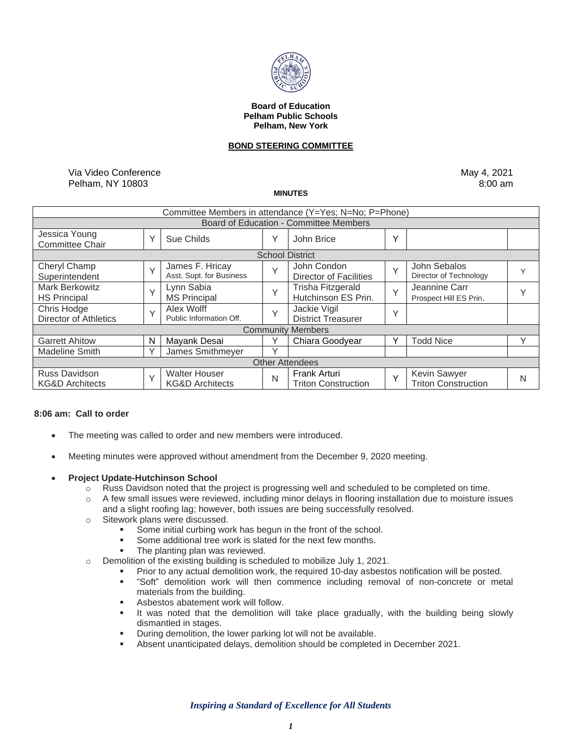

#### **Board of Education Pelham Public Schools Pelham, New York**

#### **BOND STEERING COMMITTEE**

Via Video Conference Pelham, NY 10803

May 4, 2021 8:00 am

**MINUTES**

| Committee Members in attendance (Y=Yes; N=No; P=Phone) |              |                                                    |              |                                                   |              |                                            |              |
|--------------------------------------------------------|--------------|----------------------------------------------------|--------------|---------------------------------------------------|--------------|--------------------------------------------|--------------|
| Board of Education - Committee Members                 |              |                                                    |              |                                                   |              |                                            |              |
| Jessica Young<br><b>Committee Chair</b>                | $\checkmark$ | Sue Childs                                         | Υ            | John Brice                                        | $\checkmark$ |                                            |              |
| <b>School District</b>                                 |              |                                                    |              |                                                   |              |                                            |              |
| Cheryl Champ<br>Superintendent                         | $\checkmark$ | James F. Hricay<br>Asst. Supt. for Business        | $\checkmark$ | John Condon<br><b>Director of Facilities</b>      | $\checkmark$ | John Sebalos<br>Director of Technology     | v            |
| <b>Mark Berkowitz</b><br><b>HS Principal</b>           | $\checkmark$ | Lynn Sabia<br><b>MS Principal</b>                  | $\vee$       | Trisha Fitzgerald<br>Hutchinson ES Prin.          | $\checkmark$ | Jeannine Carr<br>Prospect Hill ES Prin.    |              |
| Chris Hodge<br><b>Director of Athletics</b>            | $\vee$       | Alex Wolff<br>Public Information Off.              | $\checkmark$ | Jackie Vigil<br><b>District Treasurer</b>         | $\checkmark$ |                                            |              |
| <b>Community Members</b>                               |              |                                                    |              |                                                   |              |                                            |              |
| <b>Garrett Ahitow</b>                                  | N            | Mayank Desai                                       |              | Chiara Goodyear                                   | v            | <b>Todd Nice</b>                           | $\checkmark$ |
| <b>Madeline Smith</b>                                  | $\check{ }$  | James Smithmeyer                                   | $\checkmark$ |                                                   |              |                                            |              |
| <b>Other Attendees</b>                                 |              |                                                    |              |                                                   |              |                                            |              |
| <b>Russ Davidson</b><br><b>KG&amp;D Architects</b>     | $\checkmark$ | <b>Walter Houser</b><br><b>KG&amp;D Architects</b> | N            | <b>Frank Arturi</b><br><b>Triton Construction</b> | $\checkmark$ | Kevin Sawyer<br><b>Triton Construction</b> | N            |

## **8:06 am: Call to order**

- The meeting was called to order and new members were introduced.
- Meeting minutes were approved without amendment from the December 9, 2020 meeting.
- **Project Update-Hutchinson School**
	- $\circ$  Russ Davidson noted that the project is progressing well and scheduled to be completed on time.
	- $\circ$  A few small issues were reviewed, including minor delays in flooring installation due to moisture issues and a slight roofing lag; however, both issues are being successfully resolved.
	- o Sitework plans were discussed.
		- Some initial curbing work has begun in the front of the school.
		- Some additional tree work is slated for the next few months.
		- **The planting plan was reviewed.**
	- o Demolition of the existing building is scheduled to mobilize July 1, 2021.
		- Prior to any actual demolition work, the required 10-day asbestos notification will be posted.
		- "Soft" demolition work will then commence including removal of non-concrete or metal materials from the building.
		- Asbestos abatement work will follow.
		- It was noted that the demolition will take place gradually, with the building being slowly dismantled in stages.
		- **•** During demolition, the lower parking lot will not be available.
		- Absent unanticipated delays, demolition should be completed in December 2021.

*Inspiring a Standard of Excellence for All Students*